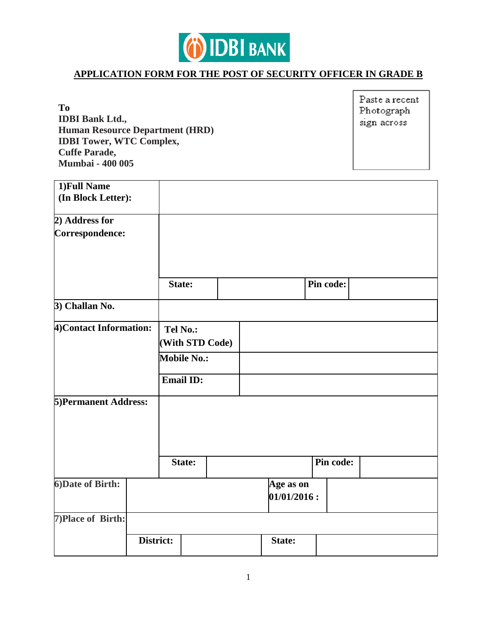

## **APPLICATION FORM FOR THE POST OF SECURITY OFFICER IN GRADE B**

**To IDBI Bank Ltd., Human Resource Department (HRD) IDBI Tower, WTC Complex, Cuffe Parade, Mumbai - 400 005**

Paste a recent Photograph sign across

| 1) Full Name<br>(In Block Letter): |           |          |                    |  |             |           |  |
|------------------------------------|-----------|----------|--------------------|--|-------------|-----------|--|
|                                    |           |          |                    |  |             |           |  |
| 2) Address for                     |           |          |                    |  |             |           |  |
| Correspondence:                    |           |          |                    |  |             |           |  |
|                                    |           |          |                    |  |             |           |  |
|                                    |           |          |                    |  |             |           |  |
|                                    |           |          |                    |  |             |           |  |
|                                    |           | State:   |                    |  |             | Pin code: |  |
|                                    |           |          |                    |  |             |           |  |
| 3) Challan No.                     |           |          |                    |  |             |           |  |
| 4) Contact Information:            |           | Tel No.: |                    |  |             |           |  |
|                                    |           |          | (With STD Code)    |  |             |           |  |
|                                    |           |          |                    |  |             |           |  |
|                                    |           |          | <b>Mobile No.:</b> |  |             |           |  |
|                                    |           |          | <b>Email ID:</b>   |  |             |           |  |
|                                    |           |          |                    |  |             |           |  |
| <b>5)Permanent Address:</b>        |           |          |                    |  |             |           |  |
|                                    |           |          |                    |  |             |           |  |
|                                    |           |          |                    |  |             |           |  |
|                                    |           |          |                    |  |             |           |  |
|                                    |           |          |                    |  |             |           |  |
|                                    |           |          | <b>State:</b>      |  |             | Pin code: |  |
|                                    |           |          |                    |  |             |           |  |
| 6) Date of Birth:                  |           |          |                    |  | Age as on   |           |  |
|                                    |           |          |                    |  | 01/01/2016: |           |  |
| 7) Place of Birth:                 |           |          |                    |  |             |           |  |
|                                    | District: |          |                    |  | State:      |           |  |
|                                    |           |          |                    |  |             |           |  |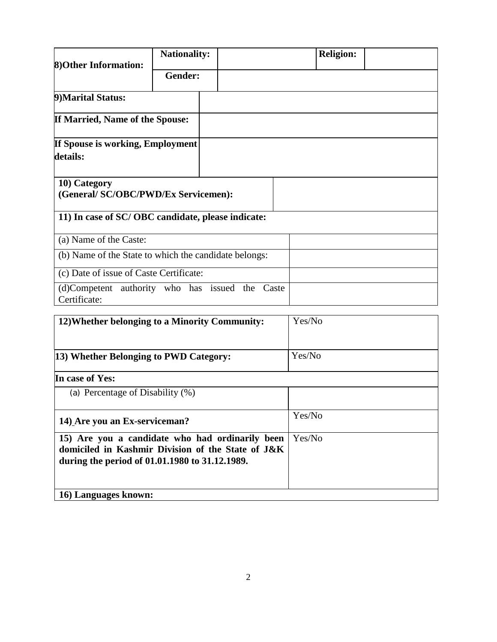| 8) Other Information:                                     | <b>Nationality:</b> |        | <b>Religion:</b> |  |
|-----------------------------------------------------------|---------------------|--------|------------------|--|
|                                                           | <b>Gender:</b>      |        |                  |  |
| 9) Marital Status:                                        |                     |        |                  |  |
| If Married, Name of the Spouse:                           |                     |        |                  |  |
| If Spouse is working, Employment<br>details:              |                     |        |                  |  |
| 10) Category<br>(General/SC/OBC/PWD/Ex Servicemen):       |                     |        |                  |  |
| 11) In case of SC/OBC candidate, please indicate:         |                     |        |                  |  |
| (a) Name of the Caste:                                    |                     |        |                  |  |
| (b) Name of the State to which the candidate belongs:     |                     |        |                  |  |
| (c) Date of issue of Caste Certificate:                   |                     |        |                  |  |
| (d)Competent authority who has issued the<br>Certificate: |                     | Caste  |                  |  |
| 12) Whether belonging to a Minority Community:            |                     | Yes/No |                  |  |
| 13) Whether Belonging to PWD Category:                    |                     |        | Yes/No           |  |

| In case of Yes:                                                                                                                                        |        |
|--------------------------------------------------------------------------------------------------------------------------------------------------------|--------|
| (a) Percentage of Disability (%)                                                                                                                       |        |
| 14) Are you an Ex-serviceman?                                                                                                                          | Yes/No |
| 15) Are you a candidate who had ordinarily been<br>domiciled in Kashmir Division of the State of J&K<br>during the period of 01.01.1980 to 31.12.1989. | Yes/No |
| 16) Languages known:                                                                                                                                   |        |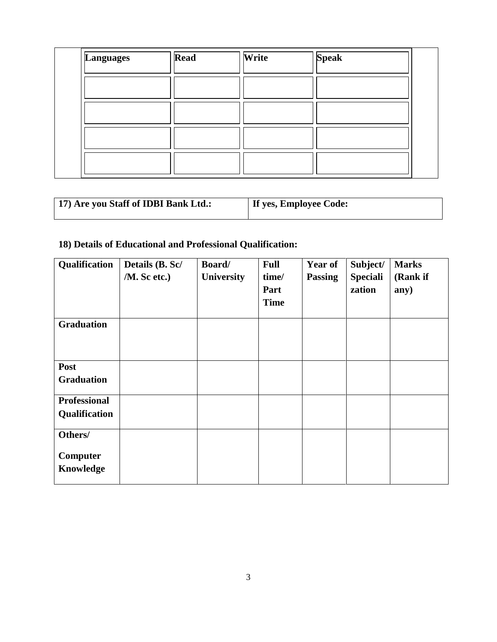| Languages | <b>Read</b> | Write | <b>Speak</b> |  |
|-----------|-------------|-------|--------------|--|
|           |             |       |              |  |
|           |             |       |              |  |
|           |             |       |              |  |
|           |             |       |              |  |

| 17) Are you Staff of IDBI Bank Ltd.: | If yes, Employee Code: |
|--------------------------------------|------------------------|
|--------------------------------------|------------------------|

# **18) Details of Educational and Professional Qualification:**

| Qualification                        | Details (B. Sc/<br>/M. Sc etc.) | Board/<br><b>University</b> | <b>Full</b><br>time/<br>Part<br><b>Time</b> | Year of<br><b>Passing</b> | Subject/<br><b>Speciali</b><br>zation | <b>Marks</b><br>(Rank if<br>any) |
|--------------------------------------|---------------------------------|-----------------------------|---------------------------------------------|---------------------------|---------------------------------------|----------------------------------|
| <b>Graduation</b>                    |                                 |                             |                                             |                           |                                       |                                  |
| Post<br><b>Graduation</b>            |                                 |                             |                                             |                           |                                       |                                  |
| <b>Professional</b><br>Qualification |                                 |                             |                                             |                           |                                       |                                  |
| Others/<br>Computer<br>Knowledge     |                                 |                             |                                             |                           |                                       |                                  |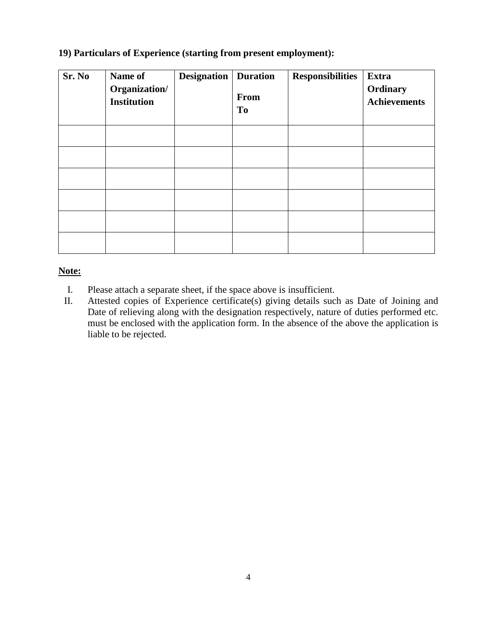## **19) Particulars of Experience (starting from present employment):**

| Sr. No | Name of<br>Organization/<br><b>Institution</b> | <b>Designation</b> | <b>Duration</b><br><b>From</b><br>T <sub>0</sub> | <b>Responsibilities</b> | Extra<br>Ordinary<br><b>Achievements</b> |
|--------|------------------------------------------------|--------------------|--------------------------------------------------|-------------------------|------------------------------------------|
|        |                                                |                    |                                                  |                         |                                          |
|        |                                                |                    |                                                  |                         |                                          |
|        |                                                |                    |                                                  |                         |                                          |
|        |                                                |                    |                                                  |                         |                                          |
|        |                                                |                    |                                                  |                         |                                          |
|        |                                                |                    |                                                  |                         |                                          |

## **Note:**

- I. Please attach a separate sheet, if the space above is insufficient.
- II. Attested copies of Experience certificate(s) giving details such as Date of Joining and Date of relieving along with the designation respectively, nature of duties performed etc. must be enclosed with the application form. In the absence of the above the application is liable to be rejected.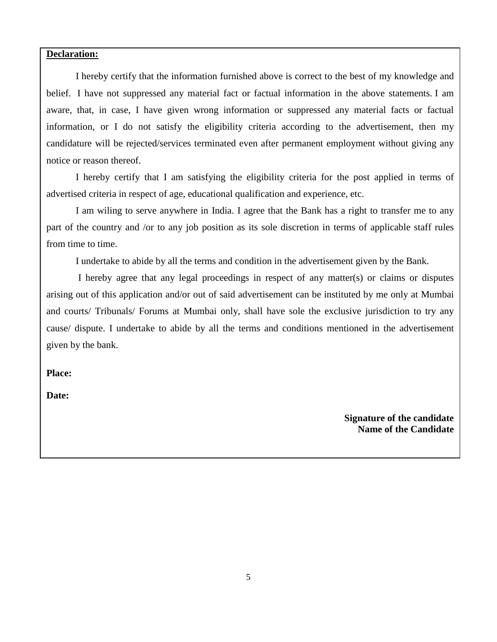#### **Declaration:**

 I hereby certify that the information furnished above is correct to the best of my knowledge and belief. I have not suppressed any material fact or factual information in the above statements. I am aware, that, in case, I have given wrong information or suppressed any material facts or factual information, or I do not satisfy the eligibility criteria according to the advertisement, then my candidature will be rejected/services terminated even after permanent employment without giving any notice or reason thereof.

 I hereby certify that I am satisfying the eligibility criteria for the post applied in terms of advertised criteria in respect of age, educational qualification and experience, etc.

 I am wiling to serve anywhere in India. I agree that the Bank has a right to transfer me to any part of the country and /or to any job position as its sole discretion in terms of applicable staff rules from time to time.

I undertake to abide by all the terms and condition in the advertisement given by the Bank.

 I hereby agree that any legal proceedings in respect of any matter(s) or claims or disputes arising out of this application and/or out of said advertisement can be instituted by me only at Mumbai and courts/ Tribunals/ Forums at Mumbai only, shall have sole the exclusive jurisdiction to try any cause/ dispute. I undertake to abide by all the terms and conditions mentioned in the advertisement given by the bank.

**Place:** 

**Date:** 

**Signature of the candidate Name of the Candidate**